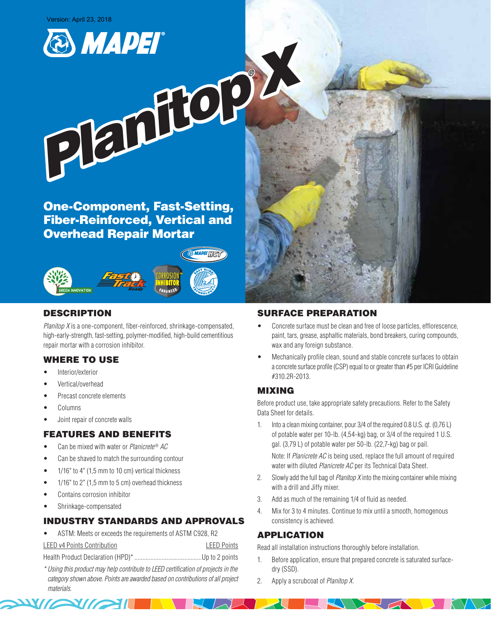



One-Component, Fast-Setting, Fiber-Reinforced, Vertical and Overhead Repair Mortar



# DESCRIPTION

*Planitop X* is a one-component, fiber-reinforced, shrinkage-compensated, high-early-strength, fast-setting, polymer-modified, high-build cementitious repair mortar with a corrosion inhibitor.

# WHERE TO USE

- Interior/exterior
- Vertical/overhead
- Precast concrete elements
- **Columns**
- Joint repair of concrete walls

## FEATURES AND BENEFITS

- Can be mixed with water or *Planicrete* ® *AC*
- Can be shaved to match the surrounding contour
- 1/16" to 4" (1,5 mm to 10 cm) vertical thickness
- 1/16" to 2" (1,5 mm to 5 cm) overhead thickness
- Contains corrosion inhibitor

**EXIMAL** 

Shrinkage-compensated

# INDUSTRY STANDARDS AND APPROVALS

• ASTM: Meets or exceeds the requirements of ASTM C928, R2

```
LEED v4 Points Contribution LEED Points
```
Health Product Declaration (HPD)\*..........................................Up to 2 points

*\* Using this product may help contribute to LEED certification of projects in the category shown above. Points are awarded based on contributions of all project materials.*

### SURFACE PREPARATION

- Concrete surface must be clean and free of loose particles, efflorescence, paint, tars, grease, asphaltic materials, bond breakers, curing compounds, wax and any foreign substance.
- Mechanically profile clean, sound and stable concrete surfaces to obtain a concrete surface profile (CSP) equal to or greater than #5 per ICRI Guideline #310.2R-2013.

# MIXING

Before product use, take appropriate safety precautions. Refer to the Safety Data Sheet for details.

1. Into a clean mixing container, pour 3/4 of the required 0.8 U.S. qt. (0,76 L) of potable water per 10-lb. (4,54-kg) bag, or 3/4 of the required 1 U.S. gal. (3,79 L) of potable water per 50-lb. (22,7-kg) bag or pail.

Note: If *Planicrete AC* is being used, replace the full amount of required water with diluted *Planicrete AC* per its Technical Data Sheet.

- 2. Slowly add the full bag of *Planitop X* into the mixing container while mixing with a drill and Jiffy mixer.
- 3. Add as much of the remaining 1/4 of fluid as needed.
- 4. Mix for 3 to 4 minutes. Continue to mix until a smooth, homogenous consistency is achieved.

## APPLICATION

Read all installation instructions thoroughly before installation.

- 1. Before application, ensure that prepared concrete is saturated surfacedry (SSD).
- 2. Apply a scrubcoat of *Planitop X*.